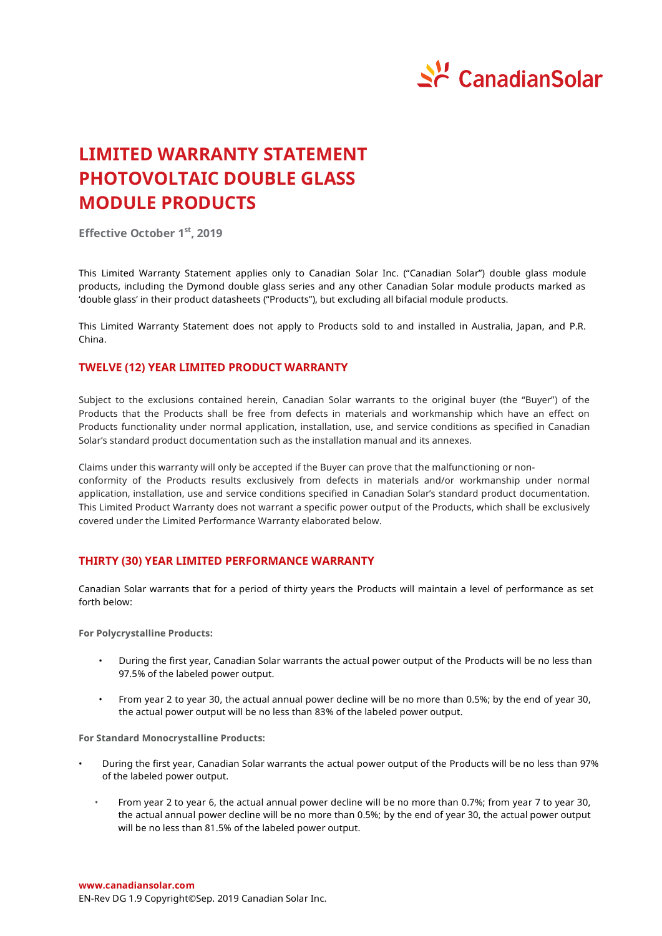

# **LIMITED WARRANTY STATEMENT PHOTOVOLTAIC DOUBLE GLASS MODULE PRODUCTS**

**Effective October 1 st , 2019**

This Limited Warranty Statement applies only to Canadian Solar Inc. ("Canadian Solar") double glass module products, including the Dymond double glass series and any other Canadian Solar module products marked as 'double glass' in their product datasheets ("Products"), but excluding all bifacial module products.

This Limited Warranty Statement does not apply to Products sold to and installed in Australia, Japan, and P.R. China.

## **TWELVE (12) YEAR LIMITED PRODUCT WARRANTY**

Subject to the exclusions contained herein, Canadian Solar warrants to the original buyer (the "Buyer") of the Products that the Products shall be free from defects in materials and workmanship which have an effect on Products functionality under normal application, installation, use, and service conditions as specified in Canadian Solar's standard product documentation such as the installation manual and its annexes.

Claims under this warranty will only be accepted if the Buyer can prove that the malfunctioning or nonconformity of the Products results exclusively from defects in materials and/or workmanship under normal application, installation, use and service conditions specified in Canadian Solar's standard product documentation. This Limited Product Warranty does not warrant a specific power output of the Products, which shall be exclusively covered under the Limited Performance Warranty elaborated below.

# **THIRTY (30) YEAR LIMITED PERFORMANCE WARRANTY**

Canadian Solar warrants that for a period of thirty years the Products will maintain a level of performance as set forth below:

**For Polycrystalline Products:**

- During the first year, Canadian Solar warrants the actual power output of the Products will be no less than 97.5% of the labeled power output.
- From year 2 to year 30, the actual annual power decline will be no more than 0.5%; by the end of year 30, the actual power output will be no less than 83% of the labeled power output.

**For Standard Monocrystalline Products:**

- During the first year, Canadian Solar warrants the actual power output of the Products will be no less than 97% of the labeled power output.
	- From year 2 to year 6, the actual annual power decline will be no more than 0.7%; from year 7 to year 30, the actual annual power decline will be no more than 0.5%; by the end of year 30, the actual power output will be no less than 81.5% of the labeled power output.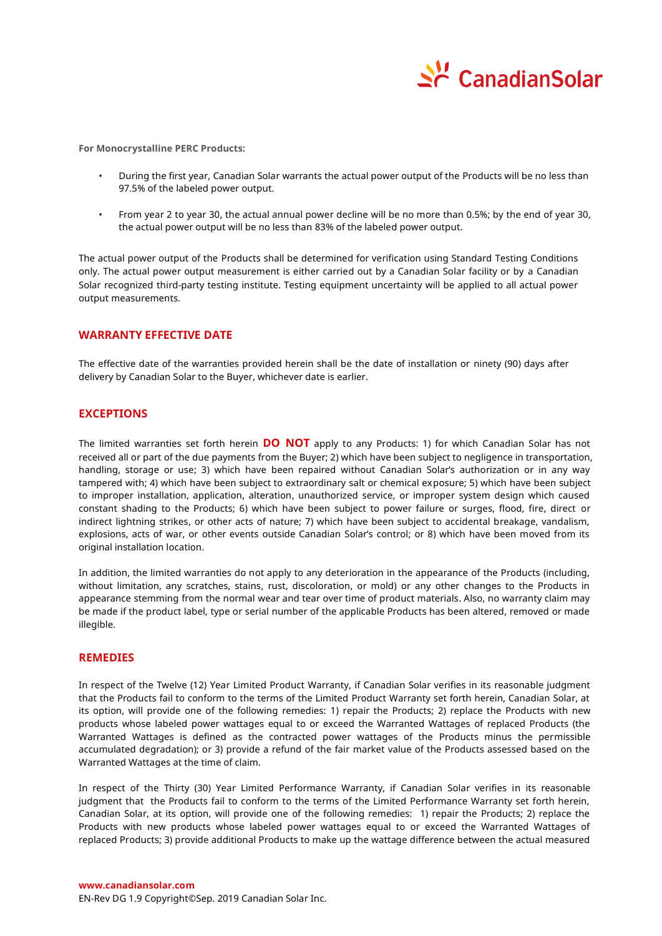

**For Monocrystalline PERC Products:**

- During the first year, Canadian Solar warrants the actual power output of the Products will be no less than 97.5% of the labeled power output.
- From year 2 to year 30, the actual annual power decline will be no more than 0.5%; by the end of year 30, the actual power output will be no less than 83% of the labeled power output.

The actual power output of the Products shall be determined for verification using Standard Testing Conditions only. The actual power output measurement is either carried out by a Canadian Solar facility or by a Canadian Solar recognized third-party testing institute. Testing equipment uncertainty will be applied to all actual power output measurements.

## **WARRANTY EFFECTIVE DATE**

The effective date of the warranties provided herein shall be the date of installation or ninety (90) days after delivery by Canadian Solar to the Buyer, whichever date is earlier.

## **EXCEPTIONS**

The limited warranties set forth herein **DO NOT** apply to any Products: 1) for which Canadian Solar has not received all or part of the due payments from the Buyer; 2) which have been subject to negligence in transportation, handling, storage or use; 3) which have been repaired without Canadian Solar's authorization or in any way tampered with; 4) which have been subject to extraordinary salt or chemical exposure; 5) which have been subject to improper installation, application, alteration, unauthorized service, or improper system design which caused constant shading to the Products; 6) which have been subject to power failure or surges, flood, fire, direct or indirect lightning strikes, or other acts of nature; 7) which have been subject to accidental breakage, vandalism, explosions, acts of war, or other events outside Canadian Solar's control; or 8) which have been moved from its original installation location.

In addition, the limited warranties do not apply to any deterioration in the appearance of the Products (including, without limitation, any scratches, stains, rust, discoloration, or mold) or any other changes to the Products in appearance stemming from the normal wear and tear over time of product materials. Also, no warranty claim may be made if the product label, type or serial number of the applicable Products has been altered, removed or made illegible.

#### **REMEDIES**

In respect of the Twelve (12) Year Limited Product Warranty, if Canadian Solar verifies in its reasonable judgment that the Products fail to conform to the terms of the Limited Product Warranty set forth herein, Canadian Solar, at its option, will provide one of the following remedies: 1) repair the Products; 2) replace the Products with new products whose labeled power wattages equal to or exceed the Warranted Wattages of replaced Products (the Warranted Wattages is defined as the contracted power wattages of the Products minus the permissible accumulated degradation); or 3) provide a refund of the fair market value of the Products assessed based on the Warranted Wattages at the time of claim.

In respect of the Thirty (30) Year Limited Performance Warranty, if Canadian Solar verifies in its reasonable judgment that the Products fail to conform to the terms of the Limited Performance Warranty set forth herein, Canadian Solar, at its option, will provide one of the following remedies: 1) repair the Products; 2) replace the Products with new products whose labeled power wattages equal to or exceed the Warranted Wattages of replaced Products; 3) provide additional Products to make up the wattage difference between the actual measured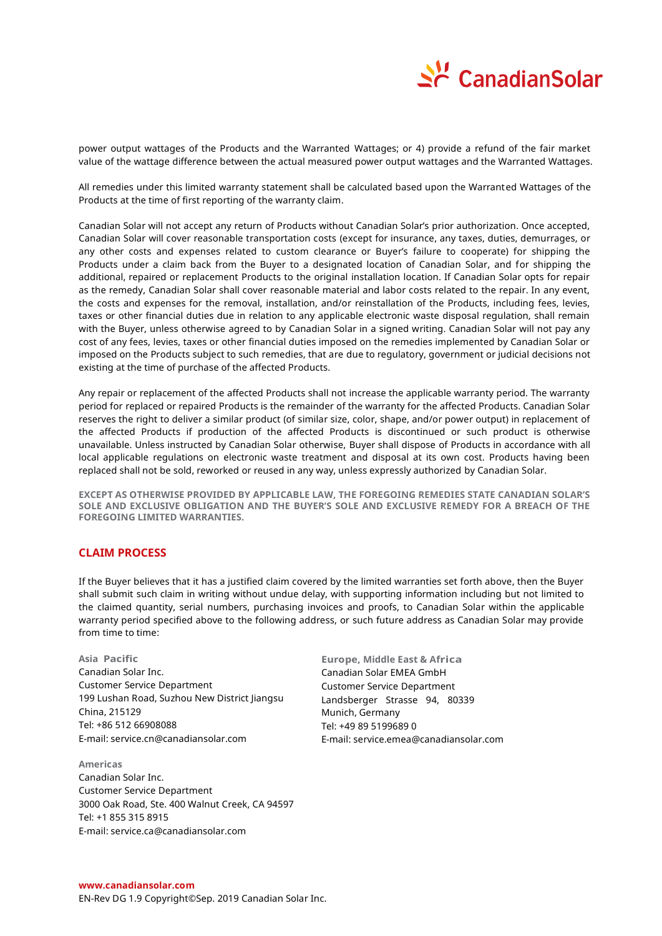

power output wattages of the Products and the Warranted Wattages; or 4) provide a refund of the fair market value of the wattage difference between the actual measured power output wattages and the Warranted Wattages.

All remedies under this limited warranty statement shall be calculated based upon the Warranted Wattages of the Products at the time of first reporting of the warranty claim.

Canadian Solar will not accept any return of Products without Canadian Solar's prior authorization. Once accepted, Canadian Solar will cover reasonable transportation costs (except for insurance, any taxes, duties, demurrages, or any other costs and expenses related to custom clearance or Buyer's failure to cooperate) for shipping the Products under a claim back from the Buyer to a designated location of Canadian Solar, and for shipping the additional, repaired or replacement Products to the original installation location. If Canadian Solar opts for repair as the remedy, Canadian Solar shall cover reasonable material and labor costs related to the repair. In any event, the costs and expenses for the removal, installation, and/or reinstallation of the Products, including fees, levies, taxes or other financial duties due in relation to any applicable electronic waste disposal regulation, shall remain with the Buyer, unless otherwise agreed to by Canadian Solar in a signed writing. Canadian Solar will not pay any cost of any fees, levies, taxes or other financial duties imposed on the remedies implemented by Canadian Solar or imposed on the Products subject to such remedies, that are due to regulatory, government or judicial decisions not existing at the time of purchase of the affected Products.

Any repair or replacement of the affected Products shall not increase the applicable warranty period. The warranty period for replaced or repaired Products is the remainder of the warranty for the affected Products. Canadian Solar reserves the right to deliver a similar product (of similar size, color, shape, and/or power output) in replacement of the affected Products if production of the affected Products is discontinued or such product is otherwise unavailable. Unless instructed by Canadian Solar otherwise, Buyer shall dispose of Products in accordance with all local applicable regulations on electronic waste treatment and disposal at its own cost. Products having been replaced shall not be sold, reworked or reused in any way, unless expressly authorized by Canadian Solar.

**EXCEPT AS OTHERWISE PROVIDED BY APPLICABLE LAW, THE FOREGOING REMEDIES STATE CANADIAN SOLAR'S SOLE AND EXCLUSIVE OBLIGATION AND THE BUYER'S SOLE AND EXCLUSIVE REMEDY FOR A BREACH OF THE FOREGOING LIMITED WARRANTIES.**

# **CLAIM PROCESS**

If the Buyer believes that it has a justified claim covered by the limited warranties set forth above, then the Buyer shall submit such claim in writing without undue delay, with supporting information including but not limited to the claimed quantity, serial numbers, purchasing invoices and proofs, to Canadian Solar within the applicable warranty period specified above to the following address, or such future address as Canadian Solar may provide from time to time:

**Asia Pacific** Canadian Solar Inc. Customer Service Department 199 Lushan Road, Suzhou New District Jiangsu China, 215129 Tel: +86 512 66908088 E-mail: service.cn@canadiansolar.com

**Americas** Canadian Solar Inc. Customer Service Department 3000 Oak Road, Ste. 400 Walnut Creek, CA 94597 Tel: +1 855 315 8915 E-mail: service.ca@canadiansolar.com

**Europe, Middle East & Africa**  Canadian Solar EMEA GmbH Customer Service Department Landsberger Strasse 94, 80339 Munich, Germany Tel: +49 89 5199689 0 E-mail: service.emea@canadiansolar.com

#### **www.canadiansolar.com**

EN-Rev DG 1.9 Copyright© Sep. 2019 Canadian Solar Inc.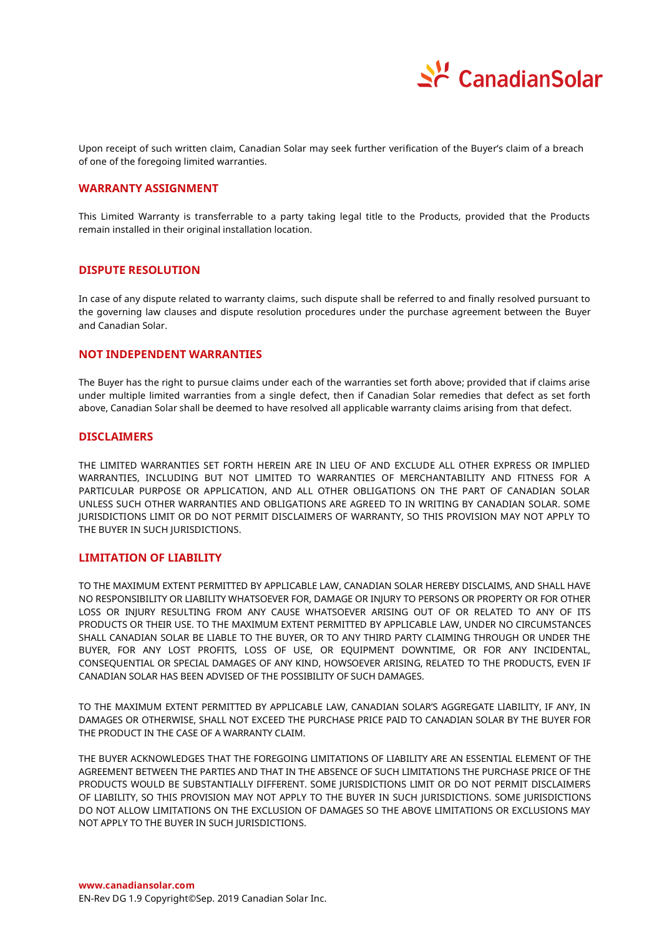

Upon receipt of such written claim, Canadian Solar may seek further verification of the Buyer's claim of a breach of one of the foregoing limited warranties.

## **WARRANTY ASSIGNMENT**

This Limited Warranty is transferrable to a party taking legal title to the Products, provided that the Products remain installed in their original installation location.

## **DISPUTE RESOLUTION**

In case of any dispute related to warranty claims, such dispute shall be referred to and finally resolved pursuant to the governing law clauses and dispute resolution procedures under the purchase agreement between the Buyer and Canadian Solar.

## **NOT INDEPENDENT WARRANTIES**

The Buyer has the right to pursue claims under each of the warranties set forth above; provided that if claims arise under multiple limited warranties from a single defect, then if Canadian Solar remedies that defect as set forth above, Canadian Solar shall be deemed to have resolved all applicable warranty claims arising from that defect.

#### **DISCLAIMERS**

THE LIMITED WARRANTIES SET FORTH HEREIN ARE IN LIEU OF AND EXCLUDE ALL OTHER EXPRESS OR IMPLIED WARRANTIES, INCLUDING BUT NOT LIMITED TO WARRANTIES OF MERCHANTABILITY AND FITNESS FOR A PARTICULAR PURPOSE OR APPLICATION, AND ALL OTHER OBLIGATIONS ON THE PART OF CANADIAN SOLAR UNLESS SUCH OTHER WARRANTIES AND OBLIGATIONS ARE AGREED TO IN WRITING BY CANADIAN SOLAR. SOME JURISDICTIONS LIMIT OR DO NOT PERMIT DISCLAIMERS OF WARRANTY, SO THIS PROVISION MAY NOT APPLY TO THE BUYER IN SUCH JURISDICTIONS.

### **LIMITATION OF LIABILITY**

TO THE MAXIMUM EXTENT PERMITTED BY APPLICABLE LAW, CANADIAN SOLAR HEREBY DISCLAIMS, AND SHALL HAVE NO RESPONSIBILITY OR LIABILITY WHATSOEVER FOR, DAMAGE OR INJURY TO PERSONS OR PROPERTY OR FOR OTHER LOSS OR INJURY RESULTING FROM ANY CAUSE WHATSOEVER ARISING OUT OF OR RELATED TO ANY OF ITS PRODUCTS OR THEIR USE. TO THE MAXIMUM EXTENT PERMITTED BY APPLICABLE LAW, UNDER NO CIRCUMSTANCES SHALL CANADIAN SOLAR BE LIABLE TO THE BUYER, OR TO ANY THIRD PARTY CLAIMING THROUGH OR UNDER THE BUYER, FOR ANY LOST PROFITS, LOSS OF USE, OR EQUIPMENT DOWNTIME, OR FOR ANY INCIDENTAL, CONSEQUENTIAL OR SPECIAL DAMAGES OF ANY KIND, HOWSOEVER ARISING, RELATED TO THE PRODUCTS, EVEN IF CANADIAN SOLAR HAS BEEN ADVISED OF THE POSSIBILITY OF SUCH DAMAGES.

TO THE MAXIMUM EXTENT PERMITTED BY APPLICABLE LAW, CANADIAN SOLAR'S AGGREGATE LIABILITY, IF ANY, IN DAMAGES OR OTHERWISE, SHALL NOT EXCEED THE PURCHASE PRICE PAID TO CANADIAN SOLAR BY THE BUYER FOR THE PRODUCT IN THE CASE OF A WARRANTY CLAIM.

THE BUYER ACKNOWLEDGES THAT THE FOREGOING LIMITATIONS OF LIABILITY ARE AN ESSENTIAL ELEMENT OF THE AGREEMENT BETWEEN THE PARTIES AND THAT IN THE ABSENCE OF SUCH LIMITATIONS THE PURCHASE PRICE OF THE PRODUCTS WOULD BE SUBSTANTIALLY DIFFERENT. SOME JURISDICTIONS LIMIT OR DO NOT PERMIT DISCLAIMERS OF LIABILITY, SO THIS PROVISION MAY NOT APPLY TO THE BUYER IN SUCH JURISDICTIONS. SOME JURISDICTIONS DO NOT ALLOW LIMITATIONS ON THE EXCLUSION OF DAMAGES SO THE ABOVE LIMITATIONS OR EXCLUSIONS MAY NOT APPLY TO THE BUYER IN SUCH JURISDICTIONS.